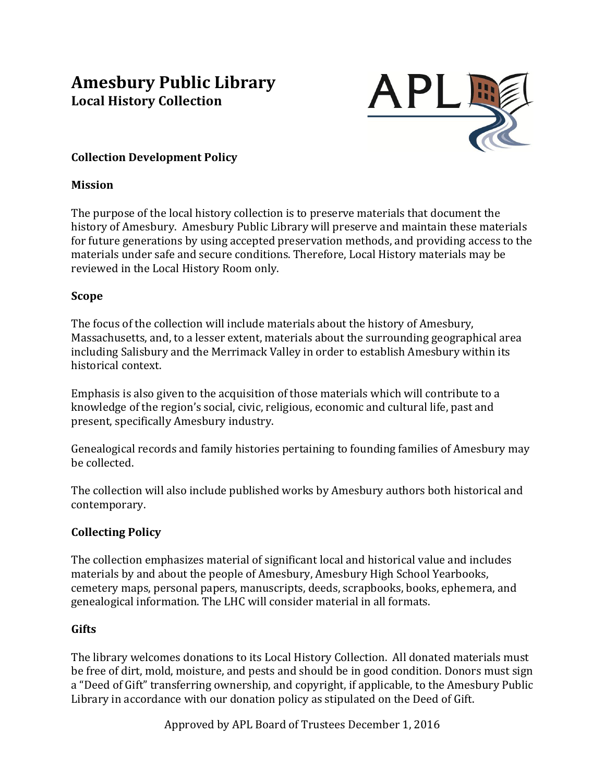# **Amesbury Public Library Local History Collection**



# **Collection Development Policy**

#### **Mission**

The purpose of the local history collection is to preserve materials that document the history of Amesbury. Amesbury Public Library will preserve and maintain these materials for future generations by using accepted preservation methods, and providing access to the materials under safe and secure conditions. Therefore, Local History materials may be reviewed in the Local History Room only.

#### **Scope**

The focus of the collection will include materials about the history of Amesbury, Massachusetts, and, to a lesser extent, materials about the surrounding geographical area including Salisbury and the Merrimack Valley in order to establish Amesbury within its historical context.

Emphasis is also given to the acquisition of those materials which will contribute to a knowledge of the region's social, civic, religious, economic and cultural life, past and present, specifically Amesbury industry.

Genealogical records and family histories pertaining to founding families of Amesbury may be collected.

The collection will also include published works by Amesbury authors both historical and contemporary. 

## **Collecting Policy**

The collection emphasizes material of significant local and historical value and includes materials by and about the people of Amesbury, Amesbury High School Yearbooks, cemetery maps, personal papers, manuscripts, deeds, scrapbooks, books, ephemera, and genealogical information. The LHC will consider material in all formats.

## **Gifts**

The library welcomes donations to its Local History Collection. All donated materials must be free of dirt, mold, moisture, and pests and should be in good condition. Donors must sign a "Deed of Gift" transferring ownership, and copyright, if applicable, to the Amesbury Public Library in accordance with our donation policy as stipulated on the Deed of Gift.

Approved by APL Board of Trustees December 1, 2016